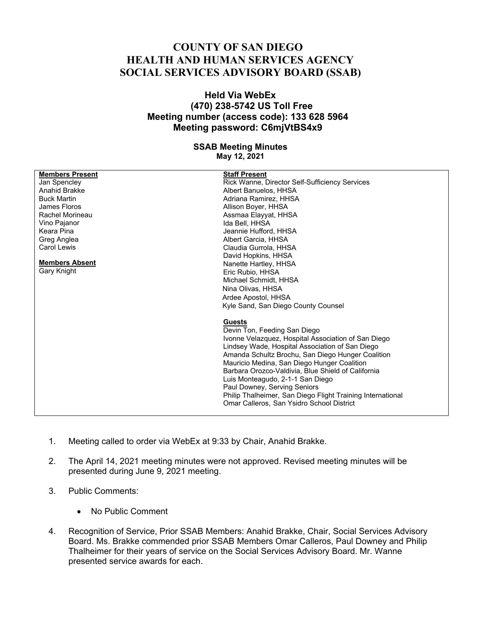## **COUNTY OF SAN DIEGO HEALTH AND HUMAN SERVICES AGENCY SOCIAL SERVICES ADVISORY BOARD (SSAB)**

## **Held Via WebEx (470) 238-5742 US Toll Free Meeting number (access code): 133 628 5964 Meeting password: C6mjVtBS4x9**

## **SSAB Meeting Minutes May 12, 2021**

| <b>Members Present</b> | <b>Staff Present</b>                                       |
|------------------------|------------------------------------------------------------|
| Jan Spencley           | Rick Wanne, Director Self-Sufficiency Services             |
| Anahid Brakke          | Albert Banuelos, HHSA                                      |
| <b>Buck Martin</b>     | Adriana Ramirez, HHSA                                      |
| James Floros           | Allison Boyer, HHSA                                        |
| Rachel Morineau        |                                                            |
| Vino Pajanor           | Assmaa Elayyat, HHSA<br>Ida Bell, HHSA                     |
| Keara Pina             | Jeannie Hufford, HHSA                                      |
|                        |                                                            |
| Greg Anglea            | Albert Garcia, HHSA                                        |
| <b>Carol Lewis</b>     | Claudia Gurrola, HHSA                                      |
| <b>Members Absent</b>  | David Hopkins, HHSA                                        |
| <b>Gary Knight</b>     | Nanette Hartley, HHSA                                      |
|                        | Eric Rubio, HHSA                                           |
|                        | Michael Schmidt. HHSA                                      |
|                        | Nina Olivas, HHSA                                          |
|                        | Ardee Apostol, HHSA                                        |
|                        | Kyle Sand, San Diego County Counsel                        |
|                        | <b>Guests</b>                                              |
|                        | Devin Ton, Feeding San Diego                               |
|                        | Ivonne Velazquez, Hospital Association of San Diego        |
|                        | Lindsey Wade, Hospital Association of San Diego            |
|                        | Amanda Schultz Brochu, San Diego Hunger Coalition          |
|                        | Mauricio Medina, San Diego Hunger Coalition                |
|                        | Barbara Orozco-Valdivia. Blue Shield of California         |
|                        | Luis Monteagudo, 2-1-1 San Diego                           |
|                        | Paul Downey, Serving Seniors                               |
|                        | Philip Thalheimer, San Diego Flight Training International |
|                        |                                                            |
|                        | Omar Calleros, San Ysidro School District                  |
|                        |                                                            |

- 1. Meeting called to order via WebEx at 9:33 by Chair, Anahid Brakke.
- 2. The April 14, 2021 meeting minutes were not approved. Revised meeting minutes will be presented during June 9, 2021 meeting.
- 3. Public Comments:
	- No Public Comment
- 4. Recognition of Service, Prior SSAB Members: Anahid Brakke, Chair, Social Services Advisory Board. Ms. Brakke commended prior SSAB Members Omar Calleros, Paul Downey and Philip Thalheimer for their years of service on the Social Services Advisory Board. Mr. Wanne presented service awards for each.